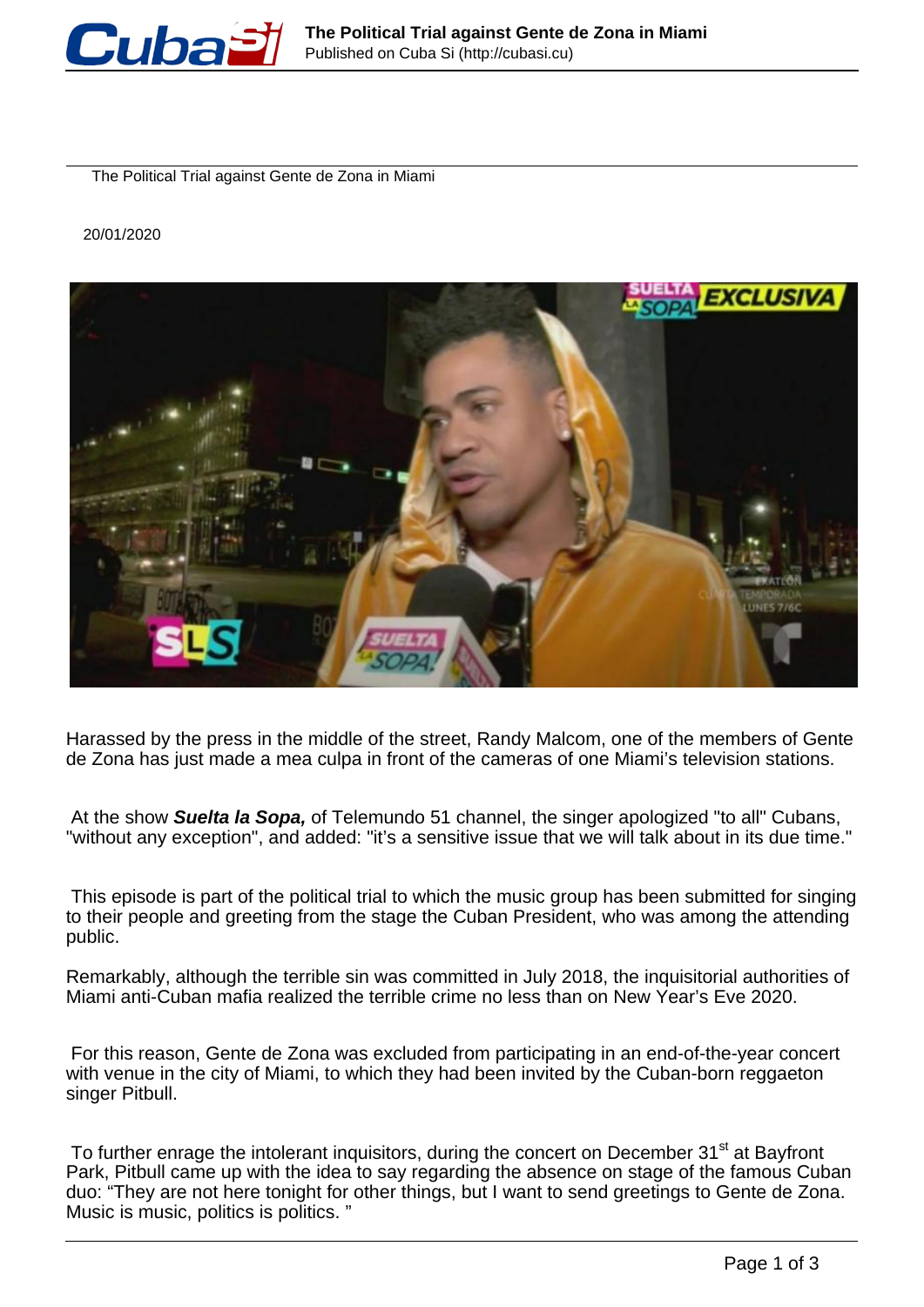

The Political Trial against Gente de Zona in Miami

20/01/2020



Harassed by the press in the middle of the street, Randy Malcom, one of the members of Gente de Zona has just made a mea culpa in front of the cameras of one Miami's television stations.

At the show **Suelta la Sopa,** of Telemundo 51 channel, the singer apologized "to all" Cubans, "without any exception", and added: "it's a sensitive issue that we will talk about in its due time."

This episode is part of the political trial to which the music group has been submitted for singing to their people and greeting from the stage the Cuban President, who was among the attending public.

Remarkably, although the terrible sin was committed in July 2018, the inquisitorial authorities of Miami anti-Cuban mafia realized the terrible crime no less than on New Year's Eve 2020.

For this reason, Gente de Zona was excluded from participating in an end-of-the-year concert with venue in the city of Miami, to which they had been invited by the Cuban-born reggaeton singer Pitbull.

To further enrage the intolerant inquisitors, during the concert on December 31<sup>st</sup> at Bayfront Park, Pitbull came up with the idea to say regarding the absence on stage of the famous Cuban duo: "They are not here tonight for other things, but I want to send greetings to Gente de Zona. Music is music, politics is politics. "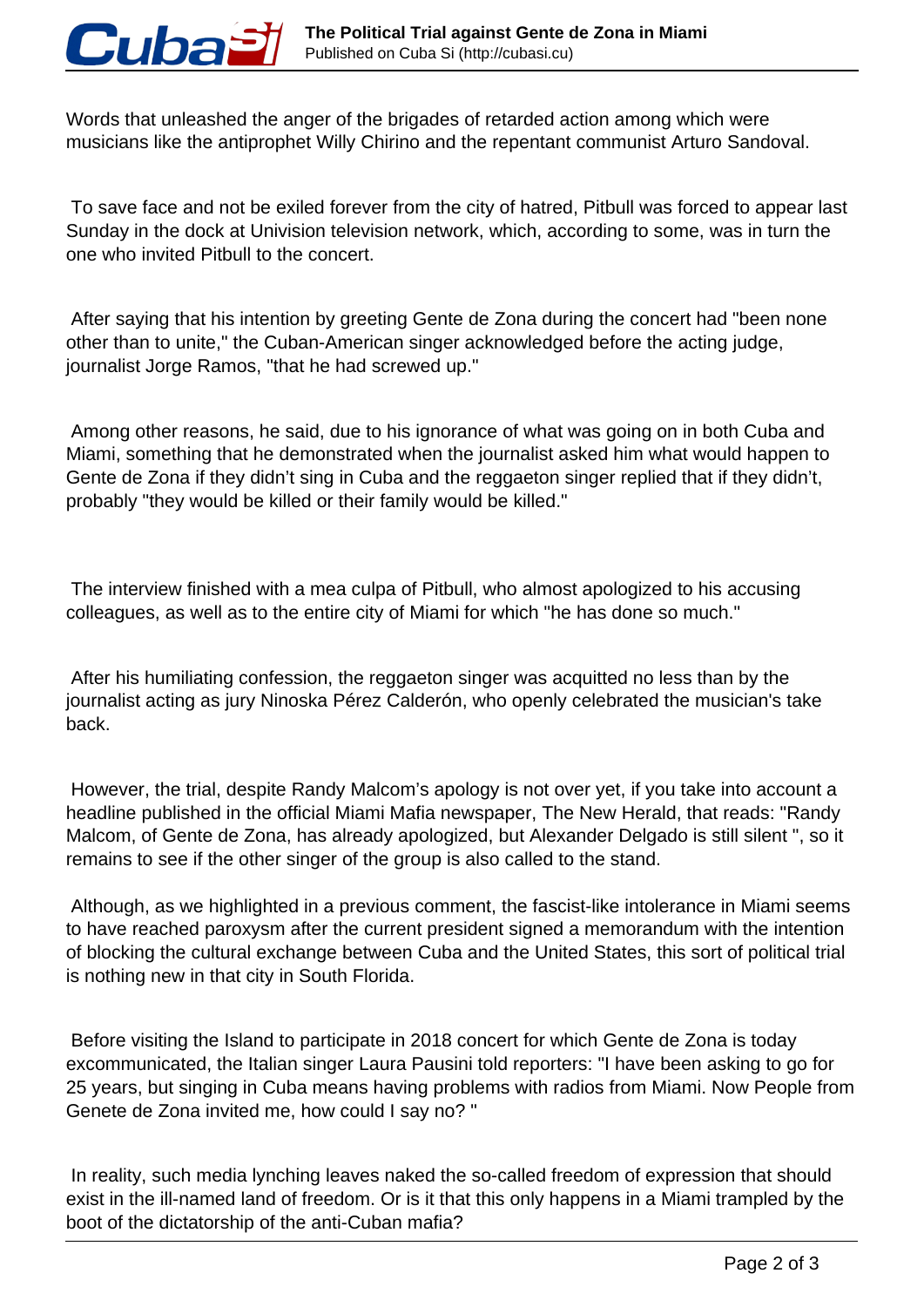

Words that unleashed the anger of the brigades of retarded action among which were musicians like the antiprophet Willy Chirino and the repentant communist Arturo Sandoval.

 To save face and not be exiled forever from the city of hatred, Pitbull was forced to appear last Sunday in the dock at Univision television network, which, according to some, was in turn the one who invited Pitbull to the concert.

 After saying that his intention by greeting Gente de Zona during the concert had "been none other than to unite," the Cuban-American singer acknowledged before the acting judge, journalist Jorge Ramos, "that he had screwed up."

 Among other reasons, he said, due to his ignorance of what was going on in both Cuba and Miami, something that he demonstrated when the journalist asked him what would happen to Gente de Zona if they didn't sing in Cuba and the reggaeton singer replied that if they didn't, probably "they would be killed or their family would be killed."

 The interview finished with a mea culpa of Pitbull, who almost apologized to his accusing colleagues, as well as to the entire city of Miami for which "he has done so much."

 After his humiliating confession, the reggaeton singer was acquitted no less than by the journalist acting as jury Ninoska Pérez Calderón, who openly celebrated the musician's take back.

 However, the trial, despite Randy Malcom's apology is not over yet, if you take into account a headline published in the official Miami Mafia newspaper, The New Herald, that reads: "Randy Malcom, of Gente de Zona, has already apologized, but Alexander Delgado is still silent ", so it remains to see if the other singer of the group is also called to the stand.

 Although, as we highlighted in a previous comment, the fascist-like intolerance in Miami seems to have reached paroxysm after the current president signed a memorandum with the intention of blocking the cultural exchange between Cuba and the United States, this sort of political trial is nothing new in that city in South Florida.

 Before visiting the Island to participate in 2018 concert for which Gente de Zona is today excommunicated, the Italian singer Laura Pausini told reporters: "I have been asking to go for 25 years, but singing in Cuba means having problems with radios from Miami. Now People from Genete de Zona invited me, how could I say no? "

 In reality, such media lynching leaves naked the so-called freedom of expression that should exist in the ill-named land of freedom. Or is it that this only happens in a Miami trampled by the boot of the dictatorship of the anti-Cuban mafia?